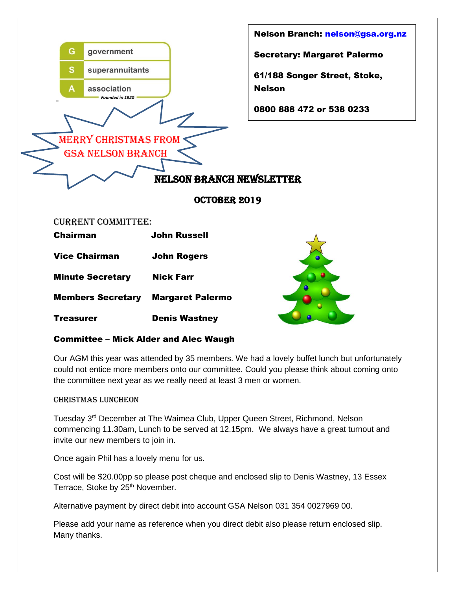

## Committee – Mick Alder and Alec Waugh

Our AGM this year was attended by 35 members. We had a lovely buffet lunch but unfortunately could not entice more members onto our committee. Could you please think about coming onto the committee next year as we really need at least 3 men or women.

## Christmas Luncheon

Tuesday 3rd December at The Waimea Club, Upper Queen Street, Richmond, Nelson commencing 11.30am, Lunch to be served at 12.15pm. We always have a great turnout and invite our new members to join in.

Once again Phil has a lovely menu for us.

Cost will be \$20.00pp so please post cheque and enclosed slip to Denis Wastney, 13 Essex Terrace, Stoke by 25<sup>th</sup> November.

Alternative payment by direct debit into account GSA Nelson 031 354 0027969 00.

Please add your name as reference when you direct debit also please return enclosed slip. Many thanks.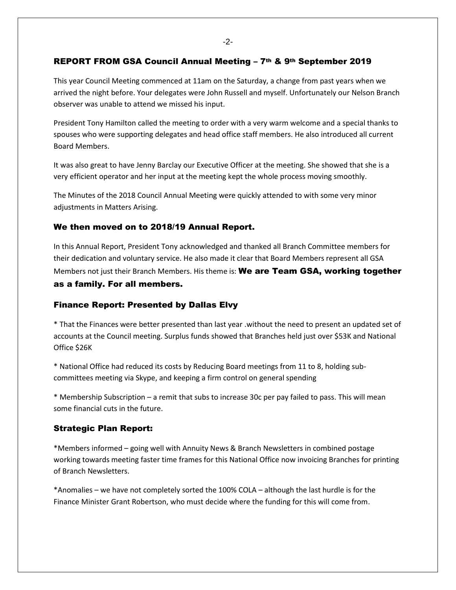-2-

## REPORT FROM GSA Council Annual Meeting – 7th & 9th September 2019

This year Council Meeting commenced at 11am on the Saturday, a change from past years when we arrived the night before. Your delegates were John Russell and myself. Unfortunately our Nelson Branch observer was unable to attend we missed his input.

President Tony Hamilton called the meeting to order with a very warm welcome and a special thanks to spouses who were supporting delegates and head office staff members. He also introduced all current Board Members.

It was also great to have Jenny Barclay our Executive Officer at the meeting. She showed that she is a very efficient operator and her input at the meeting kept the whole process moving smoothly.

The Minutes of the 2018 Council Annual Meeting were quickly attended to with some very minor adjustments in Matters Arising.

## We then moved on to 2018/19 Annual Report.

In this Annual Report, President Tony acknowledged and thanked all Branch Committee members for their dedication and voluntary service. He also made it clear that Board Members represent all GSA Members not just their Branch Members. His theme is: **We are Team GSA, working together** 

# as a family. For all members.

#### Finance Report: Presented by Dallas Elvy

\* That the Finances were better presented than last year .without the need to present an updated set of accounts at the Council meeting. Surplus funds showed that Branches held just over \$53K and National Office \$26K

\* National Office had reduced its costs by Reducing Board meetings from 11 to 8, holding subcommittees meeting via Skype, and keeping a firm control on general spending

\* Membership Subscription – a remit that subs to increase 30c per pay failed to pass. This will mean some financial cuts in the future.

#### Strategic Plan Report:

\*Members informed – going well with Annuity News & Branch Newsletters in combined postage working towards meeting faster time frames for this National Office now invoicing Branches for printing of Branch Newsletters.

\*Anomalies – we have not completely sorted the 100% COLA – although the last hurdle is for the Finance Minister Grant Robertson, who must decide where the funding for this will come from.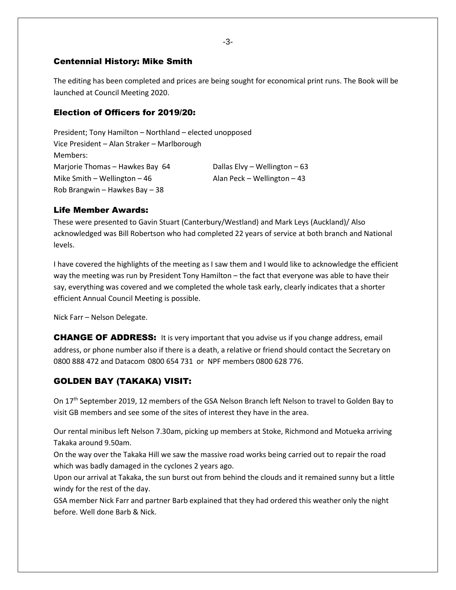## Centennial History: Mike Smith

The editing has been completed and prices are being sought for economical print runs. The Book will be launched at Council Meeting 2020.

## Election of Officers for 2019/20:

President; Tony Hamilton – Northland – elected unopposed Vice President – Alan Straker – Marlborough Members: Marjorie Thomas – Hawkes Bay 64 Dallas Elvy – Wellington – 63 Mike Smith – Wellington – 46  $\blacksquare$  Alan Peck – Wellington – 43 Rob Brangwin – Hawkes Bay – 38

## Life Member Awards:

These were presented to Gavin Stuart (Canterbury/Westland) and Mark Leys (Auckland)/ Also acknowledged was Bill Robertson who had completed 22 years of service at both branch and National levels.

I have covered the highlights of the meeting as I saw them and I would like to acknowledge the efficient way the meeting was run by President Tony Hamilton – the fact that everyone was able to have their say, everything was covered and we completed the whole task early, clearly indicates that a shorter efficient Annual Council Meeting is possible.

Nick Farr – Nelson Delegate.

**CHANGE OF ADDRESS:** It is very important that you advise us if you change address, email address, or phone number also if there is a death, a relative or friend should contact the Secretary on 0800 888 472 and Datacom 0800 654 731 or NPF members 0800 628 776.

# GOLDEN BAY (TAKAKA) VISIT:

On 17<sup>th</sup> September 2019, 12 members of the GSA Nelson Branch left Nelson to travel to Golden Bay to visit GB members and see some of the sites of interest they have in the area.

Our rental minibus left Nelson 7.30am, picking up members at Stoke, Richmond and Motueka arriving Takaka around 9.50am.

On the way over the Takaka Hill we saw the massive road works being carried out to repair the road which was badly damaged in the cyclones 2 years ago.

Upon our arrival at Takaka, the sun burst out from behind the clouds and it remained sunny but a little windy for the rest of the day.

GSA member Nick Farr and partner Barb explained that they had ordered this weather only the night before. Well done Barb & Nick.